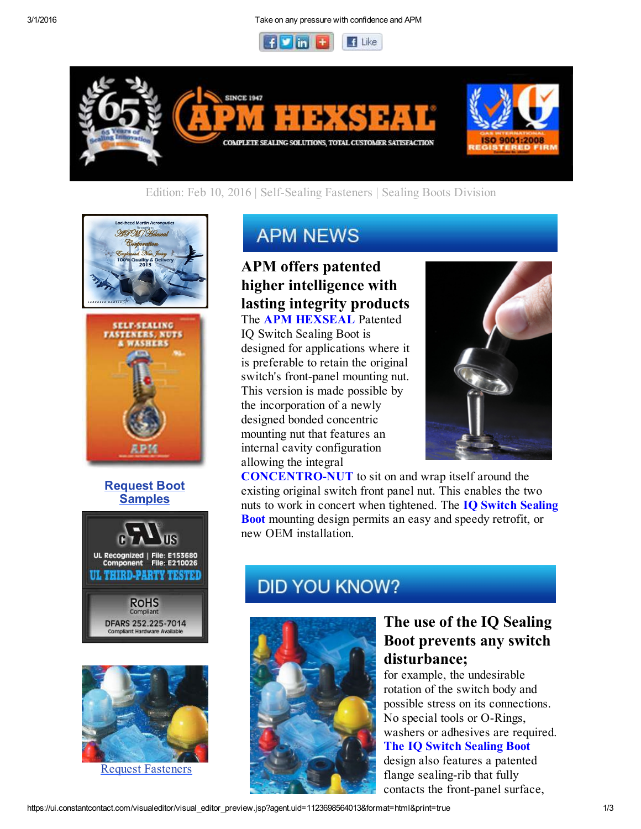



### Edition: Feb 10, 2016 | Self-Sealing Fasteners | Sealing Boots Division





#### Request Boot **Samples**





Request Fasteners

# **APM NEWS**

## APM offers patented higher intelligence with lasting integrity products

The APM HEXSEAL Patented IQ Switch Sealing Boot is designed for applications where it is preferable to retain the original switch's front-panel mounting nut. This version is made possible by the incorporation of a newly designed bonded concentric mounting nut that features an internal cavity configuration allowing the integral



**CONCENTRO-NUT** to sit on and wrap itself around the existing original switch front panel nut. This enables the two nuts to work in concert when tightened. The **IQ Switch Sealing** Boot mounting design permits an easy and speedy retrofit, or new OEM installation.

# **DID YOU KNOW?**



### The use of the IQ Sealing Boot prevents any switch disturbance;

for example, the undesirable rotation of the switch body and possible stress on its connections. No special tools or O-Rings, washers or adhesives are required. The IQ Switch Sealing Boot design also features a patented flange sealing-rib that fully contacts the front-panel surface,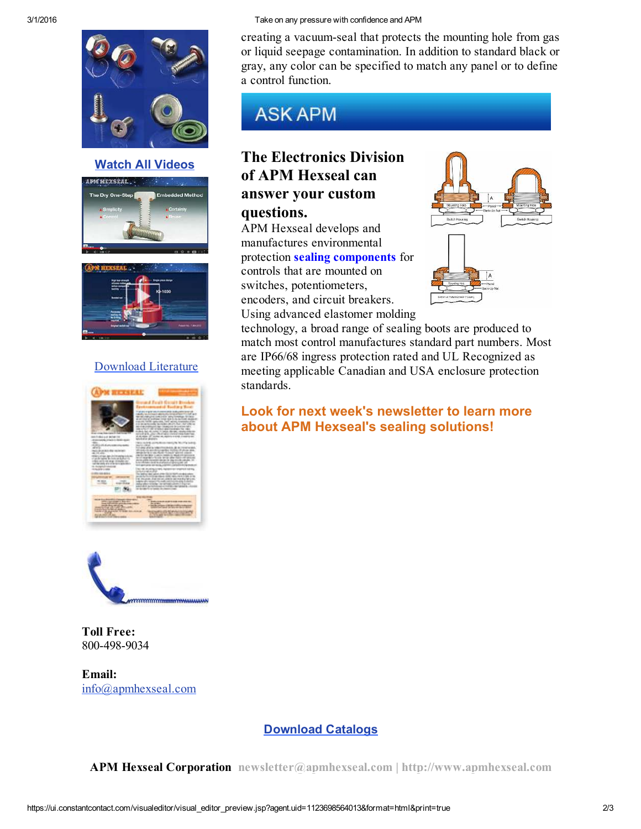

Watch All Videos





### Download Literature





Toll Free: 800-498-9034

Email: info@apmhexseal.com

#### 3/1/2016 Take on any pressure with confidence and APM

creating a vacuum-seal that protects the mounting hole from gas or liquid seepage contamination. In addition to standard black or gray, any color can be specified to match any panel or to define a control function.

# **ASK APM**

## The Electronics Division of APM Hexseal can answer your custom questions.

APM Hexseal develops and manufactures environmental protection sealing components for controls that are mounted on switches, potentiometers, encoders, and circuit breakers. Using advanced elastomer molding



technology, a broad range of sealing boots are produced to match most control manufactures standard part numbers. Most are IP66/68 ingress protection rated and UL Recognized as meeting applicable Canadian and USA enclosure protection standards.

Look for next week's newsletter to learn more about APM Hexseal's sealing solutions!

#### Download Catalogs

APM Hexseal Corporation newsletter@apmhexseal.com | http://www.apmhexseal.com